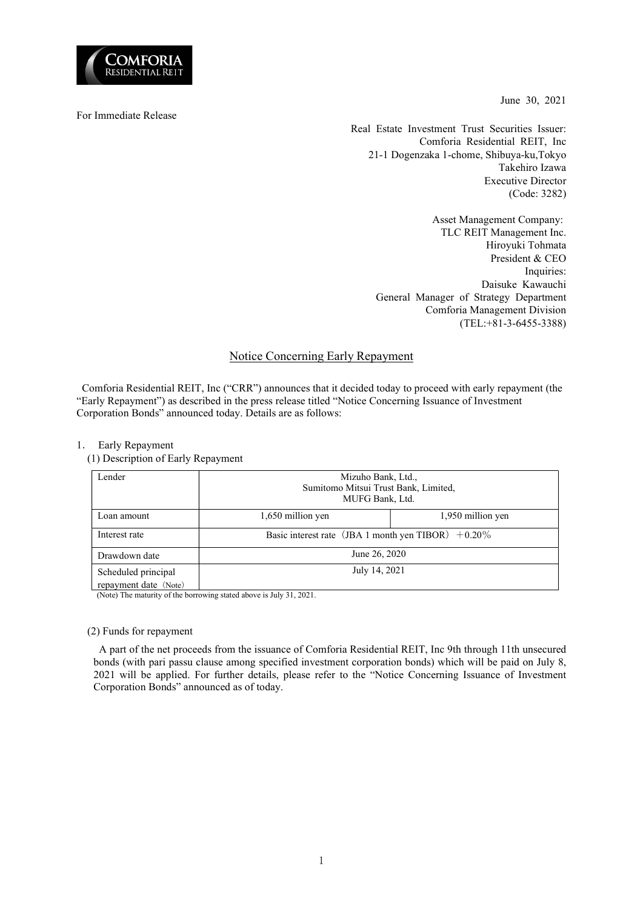

June 30, 2021

For Immediate Release

Real Estate Investment Trust Securities Issuer: Comforia Residential REIT, Inc 21-1 Dogenzaka 1-chome, Shibuya-ku,Tokyo Takehiro Izawa Executive Director (Code: 3282)

> Asset Management Company: TLC REIT Management Inc. Hiroyuki Tohmata President & CEO Inquiries: Daisuke Kawauchi General Manager of Strategy Department Comforia Management Division (TEL:+81-3-6455-3388)

## Notice Concerning Early Repayment

Comforia Residential REIT, Inc ("CRR") announces that it decided today to proceed with early repayment (the "Early Repayment") as described in the press release titled "Notice Concerning Issuance of Investment Corporation Bonds" announced today. Details are as follows:

## 1. Early Repayment

(1) Description of Early Repayment

| Lender                                       | Mizuho Bank, Ltd.,<br>Sumitomo Mitsui Trust Bank, Limited,<br>MUFG Bank, Ltd. |                   |  |  |
|----------------------------------------------|-------------------------------------------------------------------------------|-------------------|--|--|
| Loan amount                                  | 1,650 million yen                                                             | 1,950 million yen |  |  |
| Interest rate                                | Basic interest rate (JBA 1 month yen TIBOR) $+0.20\%$                         |                   |  |  |
| Drawdown date                                | June 26, 2020                                                                 |                   |  |  |
| Scheduled principal<br>repayment date (Note) | July 14, 2021                                                                 |                   |  |  |

(Note) The maturity of the borrowing stated above is July 31, 2021.

## (2) Funds for repayment

A part of the net proceeds from the issuance of Comforia Residential REIT, Inc 9th through 11th unsecured bonds (with pari passu clause among specified investment corporation bonds) which will be paid on July 8, 2021 will be applied. For further details, please refer to the "Notice Concerning Issuance of Investment Corporation Bonds" announced as of today.